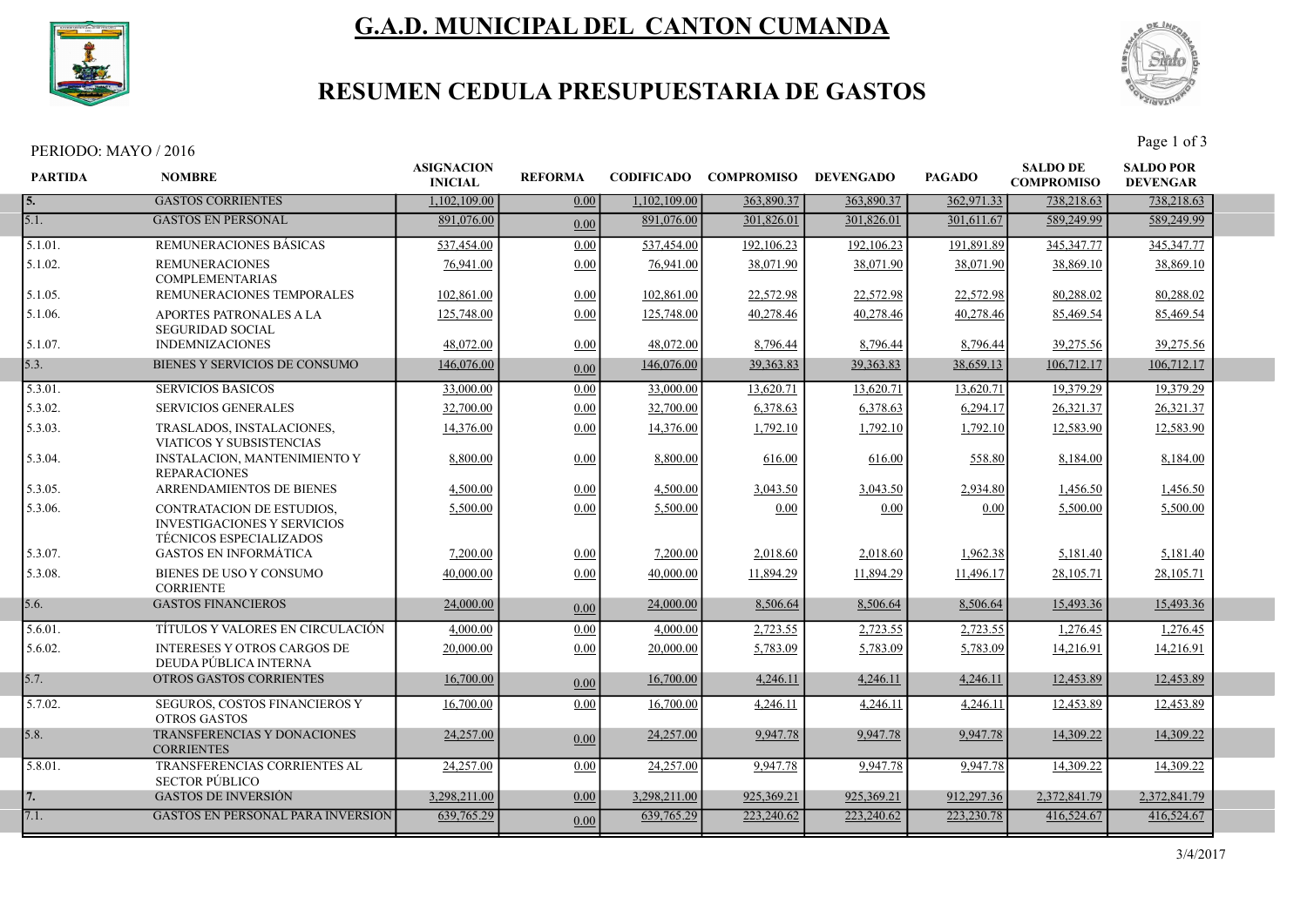

# G.A.D. MUNICIPAL DEL CANTON CUMANDA



## RESUMEN CEDULA PRESUPUESTARIA DE GASTOS

PERIODO: MAYO / 2016

| <b>PARTIDA</b> | <b>NOMBRE</b>                                                                                            | <b>ASIGNACION</b><br><b>INICIAL</b> | <b>REFORMA</b> |              | CODIFICADO COMPROMISO DEVENGADO |              | <b>PAGADO</b> | <b>SALDO DE</b><br><b>COMPROMISO</b> | <b>SALDO POR</b><br><b>DEVENGAR</b> |  |
|----------------|----------------------------------------------------------------------------------------------------------|-------------------------------------|----------------|--------------|---------------------------------|--------------|---------------|--------------------------------------|-------------------------------------|--|
| 5.             | <b>GASTOS CORRIENTES</b>                                                                                 | 1,102,109.00                        | 0.00           | 1,102,109.00 | 363,890.37                      | 363,890.37   | 362,971.33    | 738,218.63                           | 738,218.63                          |  |
| 5.1.           | <b>GASTOS EN PERSONAL</b>                                                                                | 891,076.00                          | 0.00           | 891,076.00   | 301,826.01                      | 301,826.01   | 301,611.67    | 589,249.99                           | 589,249.99                          |  |
| 5.1.01.        | REMUNERACIONES BASICAS                                                                                   | 537,454.00                          | 0.00           | 537,454.00   | 192,106.23                      | 192,106.23   | 191,891.89    | 345, 347. 77                         | 345, 347. 77                        |  |
| 5.1.02.        | <b>REMUNERACIONES</b><br><b>COMPLEMENTARIAS</b>                                                          | 76,941.00                           | 0.00           | 76,941.00    | 38,071.90                       | 38,071.90    | 38,071.90     | 38,869.10                            | 38,869.10                           |  |
| 5.1.05.        | REMUNERACIONES TEMPORALES                                                                                | 102,861.00                          | 0.00           | 102,861.00   | 22,572.98                       | 22,572.98    | 22,572.98     | 80,288.02                            | 80,288.02                           |  |
| 5.1.06.        | APORTES PATRONALES A LA<br><b>SEGURIDAD SOCIAL</b>                                                       | 125,748.00                          | 0.00           | 125,748.00   | 40,278.46                       | 40,278.46    | 40,278.46     | 85,469.54                            | 85,469.54                           |  |
| 5.1.07.        | <b>INDEMNIZACIONES</b>                                                                                   | 48,072.00                           | 0.00           | 48,072.00    | 8,796.44                        | 8,796.44     | 8,796.44      | 39,275.56                            | 39,275.56                           |  |
| 5.3.           | BIENES Y SERVICIOS DE CONSUMO                                                                            | 146,076.00                          | 0.00           | 146,076.00   | 39, 363.83                      | 39,363.83    | 38,659.13     | 106,712.17                           | 106,712.17                          |  |
| 5.3.01.        | <b>SERVICIOS BASICOS</b>                                                                                 | 33,000.00                           | 0.00           | 33,000.00    | 13,620.71                       | 13,620.71    | 13,620.71     | 19,379.29                            | 19,379.29                           |  |
| 5.3.02.        | <b>SERVICIOS GENERALES</b>                                                                               | 32,700.00                           | 0.00           | 32,700.00    | 6,378.63                        | 6,378.63     | 6,294.17      | 26,321.37                            | 26,321.37                           |  |
| 5.3.03.        | TRASLADOS, INSTALACIONES,<br>VIATICOS Y SUBSISTENCIAS                                                    | 14,376.00                           | 0.00           | 14,376.00    | 1,792.10                        | 1,792.10     | 1,792.10      | 12,583.90                            | 12,583.90                           |  |
| 5.3.04.        | <b>INSTALACION, MANTENIMIENTO Y</b><br><b>REPARACIONES</b>                                               | 8,800.00                            | 0.00           | 8,800.00     | 616.00                          | 616.00       | 558.80        | 8,184.00                             | 8,184.00                            |  |
| 5.3.05.        | ARRENDAMIENTOS DE BIENES                                                                                 | 4,500.00                            | 0.00           | 4,500.00     | 3,043.50                        | 3,043.50     | 2,934.80      | 1,456.50                             | 1,456.50                            |  |
| 5.3.06.        | <b>CONTRATACION DE ESTUDIOS.</b><br><b>INVESTIGACIONES Y SERVICIOS</b><br><b>TÉCNICOS ESPECIALIZADOS</b> | 5,500.00                            | 0.00           | 5,500.00     | 0.00                            | 0.00         | 0.00          | 5,500.00                             | 5,500.00                            |  |
| 5.3.07.        | <b>GASTOS EN INFORMATICA</b>                                                                             | 7,200.00                            | 0.00           | 7,200.00     | 2,018.60                        | 2,018.60     | 1,962.38      | 5,181.40                             | 5,181.40                            |  |
| 5.3.08.        | BIENES DE USO Y CONSUMO<br><b>CORRIENTE</b>                                                              | 40,000.00                           | 0.00           | 40,000.00    | 11,894.29                       | 11,894.29    | 11,496.17     | 28,105.71                            | 28,105.71                           |  |
| 5.6.           | <b>GASTOS FINANCIEROS</b>                                                                                | 24,000.00                           | 0.00           | 24,000.00    | 8,506.64                        | 8,506.64     | 8,506.64      | 15,493.36                            | 15,493.36                           |  |
| 5.6.01.        | TÍTULOS Y VALORES EN CIRCULACIÓN                                                                         | 4,000.00                            | 0.00           | 4,000.00     | 2.723.55                        | 2,723.55     | 2.723.55      | 1.276.45                             | 1,276.45                            |  |
| 5.6.02.        | <b>INTERESES Y OTROS CARGOS DE</b><br>DEUDA PÚBLICA INTERNA                                              | 20,000.00                           | 0.00           | 20,000.00    | 5,783.09                        | 5,783.09     | 5,783.09      | 14,216.91                            | 14,216.91                           |  |
| 5.7.           | OTROS GASTOS CORRIENTES                                                                                  | 16,700.00                           | 0.00           | 16,700.00    | 4,246.11                        | 4,246.11     | 4,246.11      | 12,453.89                            | 12,453.89                           |  |
| 5.7.02.        | SEGUROS, COSTOS FINANCIEROS Y<br><b>OTROS GASTOS</b>                                                     | 16,700.00                           | 0.00           | 16,700.00    | 4,246.11                        | 4,246.11     | 4,246.11      | 12,453.89                            | 12,453.89                           |  |
| 5.8.           | TRANSFERENCIAS Y DONACIONES<br><b>CORRIENTES</b>                                                         | 24,257.00                           | 0.00           | 24,257.00    | 9,947.78                        | 9,947.78     | 9,947.78      | 14,309.22                            | 14,309.22                           |  |
| 5.8.01.        | TRANSFERENCIAS CORRIENTES AL<br><b>SECTOR PÚBLICO</b>                                                    | 24,257.00                           | 0.00           | 24,257.00    | 9.947.78                        | 9.947.78     | 9.947.78      | 14,309.22                            | 14.309.22                           |  |
| 7.             | <b>GASTOS DE INVERSIÓN</b>                                                                               | 3,298,211.00                        | 0.00           | 3,298,211.00 | 925,369.21                      | 925, 369. 21 | 912,297.36    | 2,372,841.79                         | 2,372,841.79                        |  |
| 7.1.           | <b>GASTOS EN PERSONAL PARA INVERSION</b>                                                                 | 639, 765.29                         | 0.00           | 639,765.29   | 223,240.62                      | 223,240.62   | 223, 230. 78  | 416,524.67                           | 416,524.67                          |  |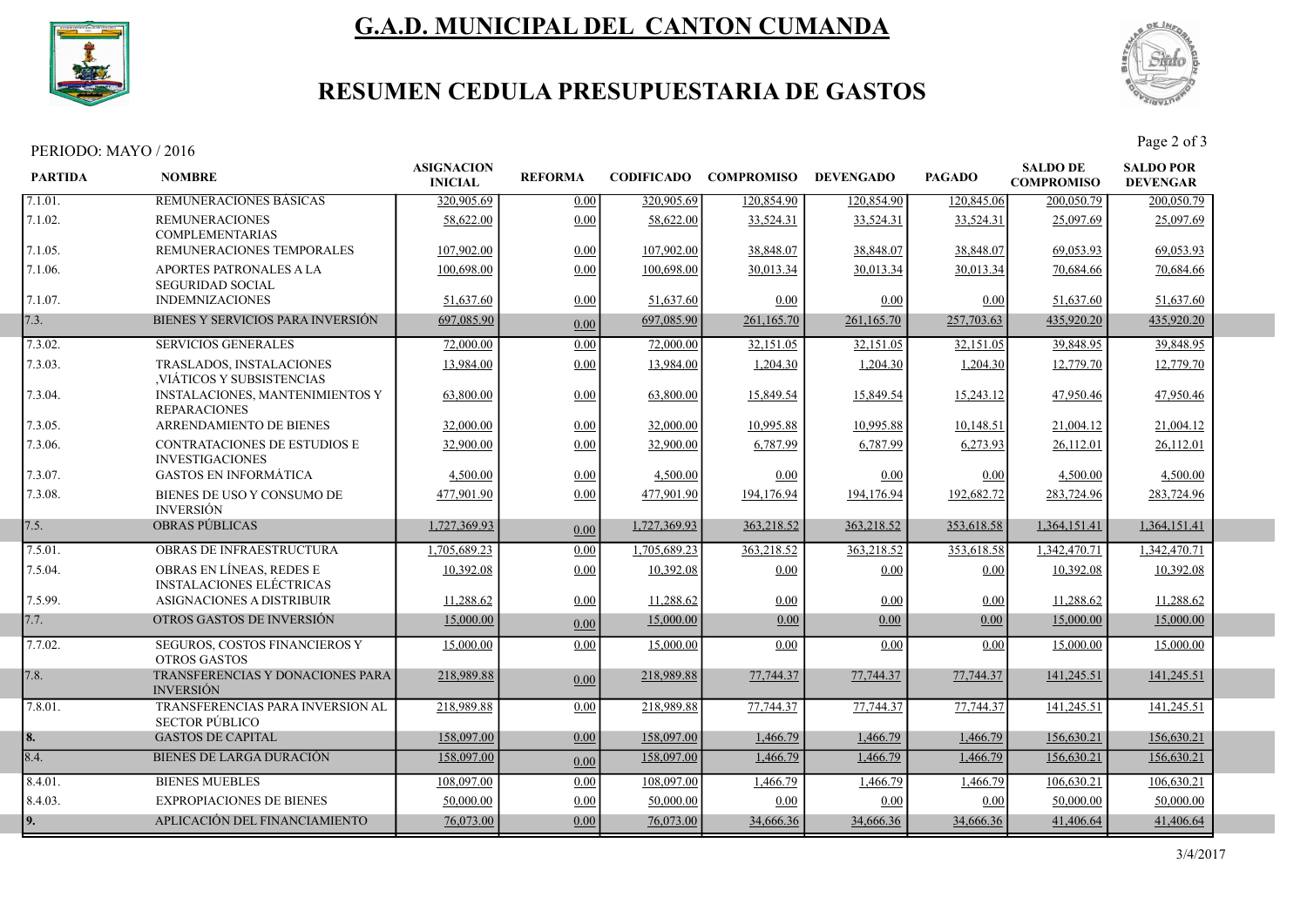

# G.A.D. MUNICIPAL DEL CANTON CUMANDA



## RESUMEN CEDULA PRESUPUESTARIA DE GASTOS

#### PERIODO: MAYO / 2016

| <b>PARTIDA</b> | <b>NOMBRE</b>                                               | <b>ASIGNACION</b><br><b>INICIAL</b> | <b>REFORMA</b> | <b>CODIFICADO</b> | <b>COMPROMISO</b> | <b>DEVENGADO</b> | <b>PAGADO</b> | <b>SALDO DE</b><br><b>COMPROMISO</b> | <b>SALDO POR</b><br><b>DEVENGAR</b> |  |
|----------------|-------------------------------------------------------------|-------------------------------------|----------------|-------------------|-------------------|------------------|---------------|--------------------------------------|-------------------------------------|--|
| 7.1.01.        | REMUNERACIONES BASICAS                                      | 320,905.69                          | 0.00           | 320,905.69        | 120.854.90        | 120,854.90       | 120,845.06    | 200,050.79                           | 200,050.79                          |  |
| 7.1.02.        | <b>REMUNERACIONES</b><br><b>COMPLEMENTARIAS</b>             | 58,622.00                           | 0.00           | 58,622.00         | 33,524.31         | 33,524.31        | 33,524.31     | 25,097.69                            | 25,097.69                           |  |
| 7.1.05.        | REMUNERACIONES TEMPORALES                                   | 107,902.00                          | 0.00           | 107,902.00        | 38,848.07         | 38,848.07        | 38,848.07     | 69,053.93                            | 69,053.93                           |  |
| 7.1.06.        | APORTES PATRONALES A LA<br><b>SEGURIDAD SOCIAL</b>          | 100,698.00                          | 0.00           | 100,698.00        | 30,013.34         | 30,013.34        | 30,013.34     | 70,684.66                            | 70.684.66                           |  |
| 7.1.07.        | <b>INDEMNIZACIONES</b>                                      | 51,637.60                           | 0.00           | 51,637.60         | 0.00              | 0.00             | 0.00          | 51,637.60                            | 51,637.60                           |  |
| 7.3.           | BIENES Y SERVICIOS PARA INVERSIÓN                           | 697,085.90                          | 0.00           | 697,085.90        | 261,165.70        | 261,165.70       | 257,703.63    | 435,920.20                           | 435,920.20                          |  |
| 7.3.02.        | <b>SERVICIOS GENERALES</b>                                  | 72,000.00                           | 0.00           | 72,000.00         | 32,151.05         | 32,151.05        | 32,151.05     | 39,848.95                            | 39,848.95                           |  |
| 7.3.03.        | TRASLADOS, INSTALACIONES<br>VIÁTICOS Y SUBSISTENCIAS        | 13,984.00                           | 0.00           | 13,984.00         | 1,204.30          | 1,204.30         | 1,204.30      | 12,779.70                            | 12,779.70                           |  |
| 7.3.04.        | INSTALACIONES, MANTENIMIENTOS Y<br><b>REPARACIONES</b>      | 63,800.00                           | 0.00           | 63,800.00         | 15,849.54         | 15,849.54        | 15,243.12     | 47,950.46                            | 47,950.46                           |  |
| 7.3.05.        | <b>ARRENDAMIENTO DE BIENES</b>                              | 32,000.00                           | 0.00           | 32,000.00         | 10.995.88         | 10.995.88        | 10,148.51     | 21,004.12                            | 21,004.12                           |  |
| 7.3.06.        | CONTRATACIONES DE ESTUDIOS E<br><b>INVESTIGACIONES</b>      | 32,900.00                           | 0.00           | 32,900.00         | 6,787.99          | 6,787.99         | 6,273.93      | 26,112.01                            | 26,112.01                           |  |
| 7.3.07.        | <b>GASTOS EN INFORMÁTICA</b>                                | 4,500.00                            | 0.00           | 4,500.00          | 0.00              | 0.00             | 0.00          | 4,500.00                             | 4,500.00                            |  |
| 7.3.08.        | BIENES DE USO Y CONSUMO DE<br><b>INVERSIÓN</b>              | 477,901.90                          | 0.00           | 477,901.90        | 194,176.94        | 194,176.94       | 192,682.72    | 283,724.96                           | 283,724.96                          |  |
| 7.5.           | <b>OBRAS PÚBLICAS</b>                                       | 1,727,369.93                        | 0.00           | 1,727,369.93      | 363,218.52        | 363,218.52       | 353,618.58    | 1,364,151.41                         | 1,364,151.41                        |  |
| 7.5.01.        | <b>OBRAS DE INFRAESTRUCTURA</b>                             | 1,705,689.23                        | 0.00           | 1,705,689.23      | 363,218.52        | 363,218.52       | 353,618.58    | 1,342,470.71                         | 1,342,470.71                        |  |
| 7.5.04.        | OBRAS EN LÍNEAS, REDES E<br><b>INSTALACIONES ELÉCTRICAS</b> | 10.392.08                           | 0.00           | 10.392.08         | 0.00              | 0.00             | 0.00          | 10,392.08                            | 10.392.08                           |  |
| 7.5.99.        | ASIGNACIONES A DISTRIBUIR                                   | 11,288.62                           | 0.00           | 11,288.62         | 0.00              | 0.00             | 0.00          | 11,288.62                            | 11,288.62                           |  |
| 7.7.           | OTROS GASTOS DE INVERSIÓN                                   | 15,000.00                           | 0.00           | 15,000.00         | 0.00              | 0.00             | 0.00          | 15,000.00                            | 15,000.00                           |  |
| 7.7.02.        | SEGUROS, COSTOS FINANCIEROS Y<br><b>OTROS GASTOS</b>        | 15,000.00                           | 0.00           | 15,000.00         | 0.00              | 0.00             | 0.00          | 15,000.00                            | 15,000.00                           |  |
| 7.8.           | TRANSFERENCIAS Y DONACIONES PARA<br><b>INVERSIÓN</b>        | 218,989.88                          | 0.00           | 218,989.88        | 77,744.37         | 77,744.37        | 77,744.37     | 141,245.51                           | 141,245.51                          |  |
| 7.8.01.        | TRANSFERENCIAS PARA INVERSION AL<br><b>SECTOR PÚBLICO</b>   | 218,989.88                          | 0.00           | 218,989.88        | 77,744.37         | 77,744.37        | 77,744.37     | 141,245.51                           | 141,245.51                          |  |
| 8.             | <b>GASTOS DE CAPITAL</b>                                    | 158,097.00                          | 0.00           | 158,097.00        | 1,466.79          | 1,466.79         | 1,466.79      | 156,630.21                           | 156,630.21                          |  |
| 8.4.           | <b>BIENES DE LARGA DURACIÓN</b>                             | 158,097.00                          | 0.00           | 158,097.00        | 1,466.79          | 1,466.79         | 1,466.79      | 156,630.21                           | 156,630.21                          |  |
| 8.4.01.        | <b>BIENES MUEBLES</b>                                       | 108,097.00                          | 0.00           | 108,097.00        | 1,466.79          | 1,466.79         | 1,466.79      | 106,630.21                           | 106,630.21                          |  |
| 8.4.03.        | <b>EXPROPIACIONES DE BIENES</b>                             | 50,000.00                           | 0.00           | 50,000.00         | 0.00              | 0.00             | 0.00          | 50,000.00                            | 50,000.00                           |  |
| 9.             | APLICACIÓN DEL FINANCIAMIENTO                               | 76,073.00                           | 0.00           | 76,073.00         | 34,666.36         | 34,666.36        | 34,666.36     | 41,406.64                            | 41,406.64                           |  |